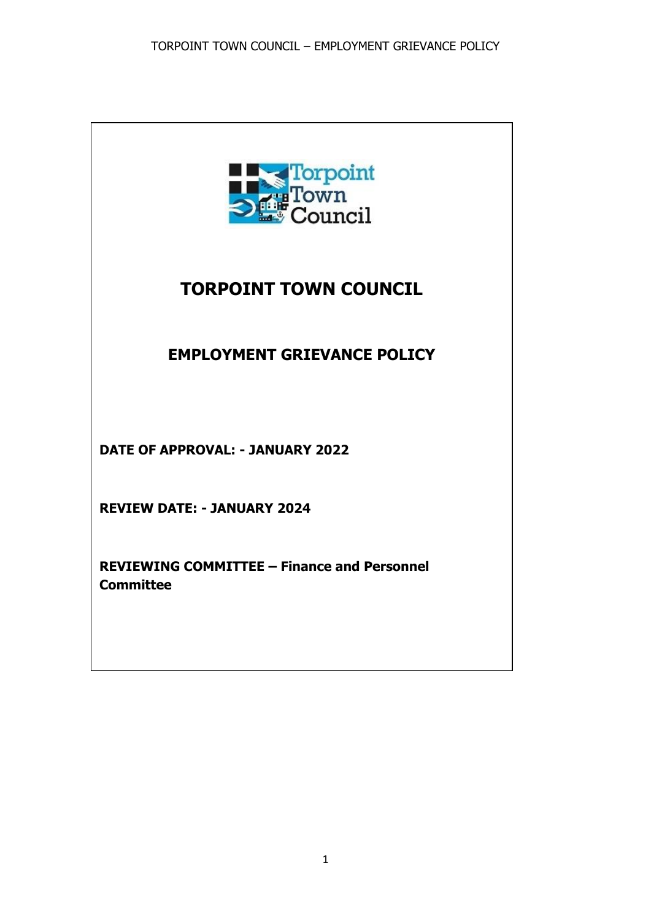

# **TORPOINT TOWN COUNCIL**

# **EMPLOYMENT GRIEVANCE POLICY**

**DATE OF APPROVAL: - JANUARY 2022**

**REVIEW DATE: - JANUARY 2024**

**REVIEWING COMMITTEE – Finance and Personnel Committee**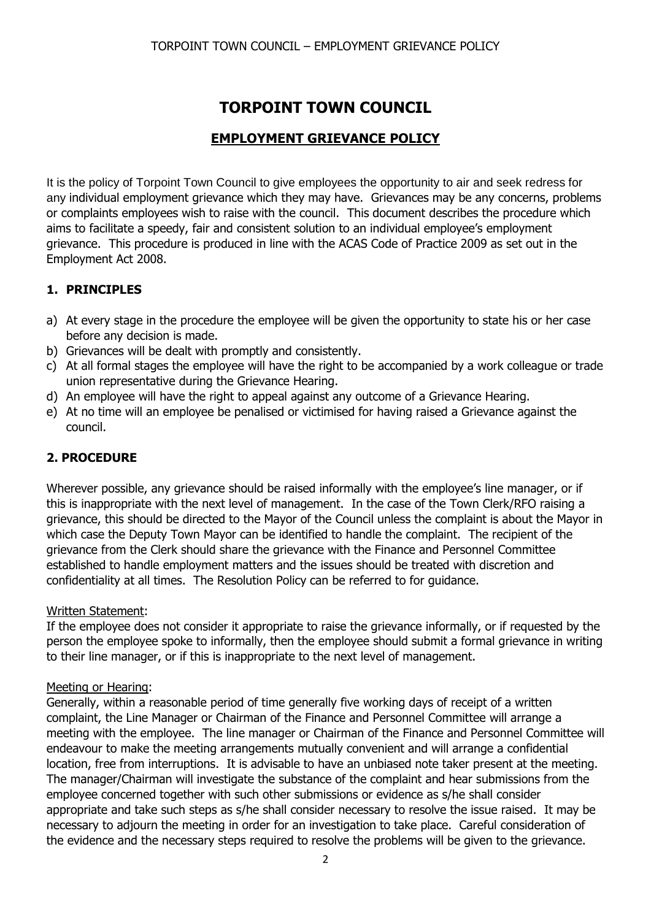# **TORPOINT TOWN COUNCIL**

## **EMPLOYMENT GRIEVANCE POLICY**

It is the policy of Torpoint Town Council to give employees the opportunity to air and seek redress for any individual employment grievance which they may have. Grievances may be any concerns, problems or complaints employees wish to raise with the council. This document describes the procedure which aims to facilitate a speedy, fair and consistent solution to an individual employee's employment grievance. This procedure is produced in line with the ACAS Code of Practice 2009 as set out in the Employment Act 2008.

### **1. PRINCIPLES**

- a) At every stage in the procedure the employee will be given the opportunity to state his or her case before any decision is made.
- b) Grievances will be dealt with promptly and consistently.
- c) At all formal stages the employee will have the right to be accompanied by a work colleague or trade union representative during the Grievance Hearing.
- d) An employee will have the right to appeal against any outcome of a Grievance Hearing.
- e) At no time will an employee be penalised or victimised for having raised a Grievance against the council.

### **2. PROCEDURE**

Wherever possible, any grievance should be raised informally with the employee's line manager, or if this is inappropriate with the next level of management. In the case of the Town Clerk/RFO raising a grievance, this should be directed to the Mayor of the Council unless the complaint is about the Mayor in which case the Deputy Town Mayor can be identified to handle the complaint. The recipient of the grievance from the Clerk should share the grievance with the Finance and Personnel Committee established to handle employment matters and the issues should be treated with discretion and confidentiality at all times. The Resolution Policy can be referred to for guidance.

#### Written Statement:

If the employee does not consider it appropriate to raise the grievance informally, or if requested by the person the employee spoke to informally, then the employee should submit a formal grievance in writing to their line manager, or if this is inappropriate to the next level of management.

#### Meeting or Hearing:

Generally, within a reasonable period of time generally five working days of receipt of a written complaint, the Line Manager or Chairman of the Finance and Personnel Committee will arrange a meeting with the employee. The line manager or Chairman of the Finance and Personnel Committee will endeavour to make the meeting arrangements mutually convenient and will arrange a confidential location, free from interruptions. It is advisable to have an unbiased note taker present at the meeting. The manager/Chairman will investigate the substance of the complaint and hear submissions from the employee concerned together with such other submissions or evidence as s/he shall consider appropriate and take such steps as s/he shall consider necessary to resolve the issue raised. It may be necessary to adjourn the meeting in order for an investigation to take place. Careful consideration of the evidence and the necessary steps required to resolve the problems will be given to the grievance.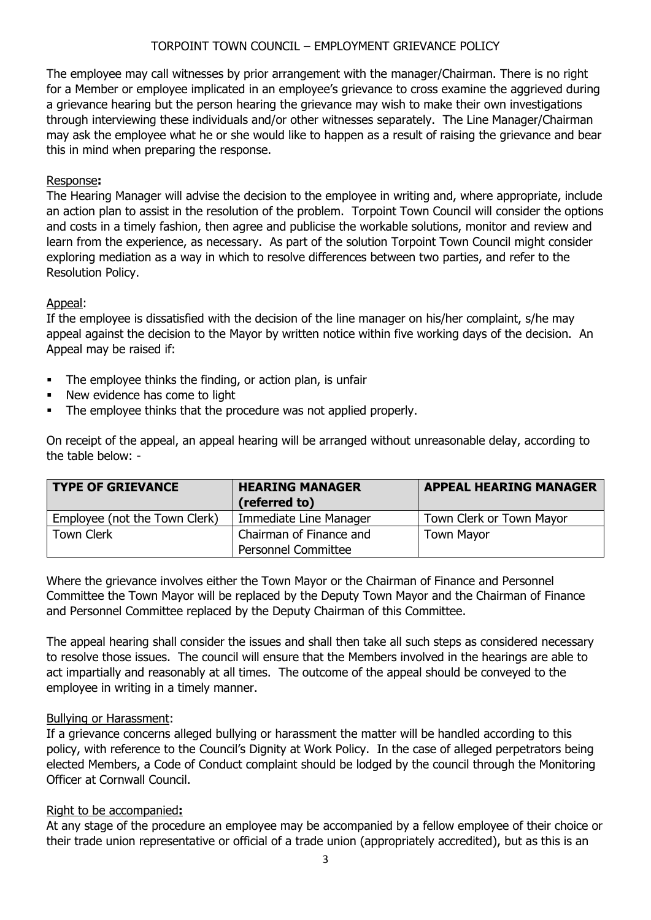#### TORPOINT TOWN COUNCIL – EMPLOYMENT GRIEVANCE POLICY

The employee may call witnesses by prior arrangement with the manager/Chairman. There is no right for a Member or employee implicated in an employee's grievance to cross examine the aggrieved during a grievance hearing but the person hearing the grievance may wish to make their own investigations through interviewing these individuals and/or other witnesses separately. The Line Manager/Chairman may ask the employee what he or she would like to happen as a result of raising the grievance and bear this in mind when preparing the response.

#### Response**:**

The Hearing Manager will advise the decision to the employee in writing and, where appropriate, include an action plan to assist in the resolution of the problem. Torpoint Town Council will consider the options and costs in a timely fashion, then agree and publicise the workable solutions, monitor and review and learn from the experience, as necessary. As part of the solution Torpoint Town Council might consider exploring mediation as a way in which to resolve differences between two parties, and refer to the Resolution Policy.

#### Appeal:

If the employee is dissatisfied with the decision of the line manager on his/her complaint, s/he may appeal against the decision to the Mayor by written notice within five working days of the decision. An Appeal may be raised if:

- The employee thinks the finding, or action plan, is unfair
- New evidence has come to light
- The employee thinks that the procedure was not applied properly.

On receipt of the appeal, an appeal hearing will be arranged without unreasonable delay, according to the table below: -

| <b>TYPE OF GRIEVANCE</b>      | <b>HEARING MANAGER</b><br>(referred to) | <b>APPEAL HEARING MANAGER</b> |
|-------------------------------|-----------------------------------------|-------------------------------|
| Employee (not the Town Clerk) | Immediate Line Manager                  | Town Clerk or Town Mayor      |
| <b>Town Clerk</b>             | Chairman of Finance and                 | <b>Town Mayor</b>             |
|                               | <b>Personnel Committee</b>              |                               |

Where the grievance involves either the Town Mayor or the Chairman of Finance and Personnel Committee the Town Mayor will be replaced by the Deputy Town Mayor and the Chairman of Finance and Personnel Committee replaced by the Deputy Chairman of this Committee.

The appeal hearing shall consider the issues and shall then take all such steps as considered necessary to resolve those issues. The council will ensure that the Members involved in the hearings are able to act impartially and reasonably at all times. The outcome of the appeal should be conveyed to the employee in writing in a timely manner.

#### Bullying or Harassment:

If a grievance concerns alleged bullying or harassment the matter will be handled according to this policy, with reference to the Council's Dignity at Work Policy. In the case of alleged perpetrators being elected Members, a Code of Conduct complaint should be lodged by the council through the Monitoring Officer at Cornwall Council.

#### Right to be accompanied**:**

At any stage of the procedure an employee may be accompanied by a fellow employee of their choice or their trade union representative or official of a trade union (appropriately accredited), but as this is an